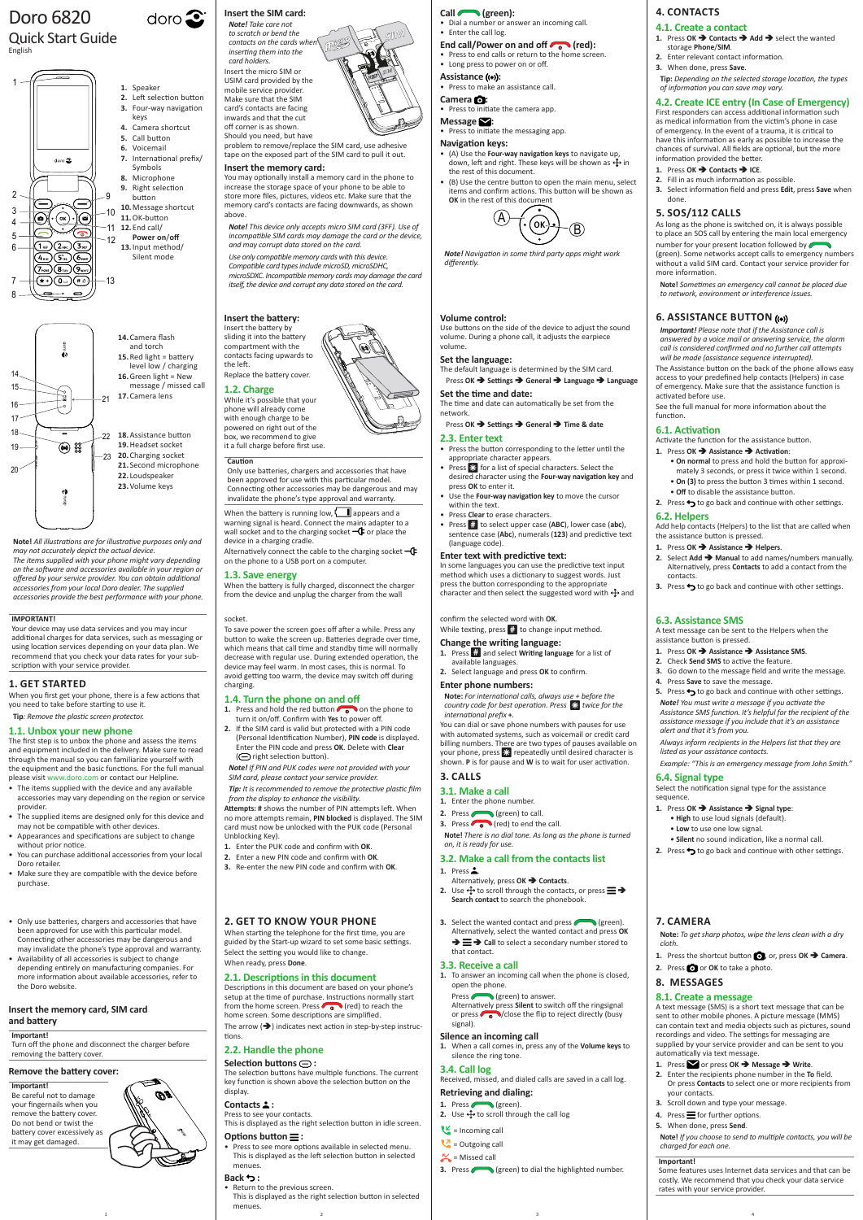**Note!** *All illustrations are for illustrative purposes only and may not accurately depict the actual device. The items supplied with your phone might vary depending on the software and accessories available in your region or offered by your service provider. You can obtain additional accessories from your local Doro dealer. The supplied accessories provide the best performance with your phone.*

### **2. GET TO KNOW YOUR PHONE**

When starting the telephone for the first time, you are guided by the Start-up wizard to set some basic settings. Select the setting you would like to change. When ready, press **Done**.

#### **2.1. Descriptions in this document**

1 and  $\begin{array}{ccc} 1 & 3 & 4 \end{array}$ • Return to the previous screen. This is displayed as the right selection button in selected menues.

**3.** Select the wanted contact and press (selection) Alternatively, select the wanted contact and press **OK** 

Descriptions in this document are based on your phone's setup at the time of purchase. Instructions normally start from the home screen. Press  $\bigcirc$  (red) to reach the home screen. Some descriptions are simplified. The arrow  $(\rightarrow)$  indicates next action in step-by-step instructions.

 $\rightarrow \equiv \rightarrow$  Call to select a secondary number stored to that contact.

Press (green) to answer. Alternatively press **Silent** to switch off the ringsignal or press  $\bigcirc$  /close the flip to reject directly (busy signal).

### **2.2. Handle the phone**

#### **Selection buttons :**

The selection buttons have multiple functions. The current key function is shown above the selection button on the display.

### **Contacts :**

Press to see your contacts.

This is displayed as the right selection button in idle screen.

### **Options button :**

• Press to see more options available in selected menu. This is displayed as the left selection button in selected menues.

problem to remove/replace the SIM card, use adhesive tape on the exposed part of the SIM card to pull it out.

### **Back :**

### **3.3. Receive a call**

**1.** To answer an incoming call when the phone is closed, open the phone.

#### **Silence an incoming call**

**1.** When a call comes in, press any of the **Volume keys** to silence the ring tone.

### **3.4. Call log**

Received, missed, and dialed calls are saved in a call log.

#### **Retrieving and dialing:**

1. Press (green).

- **2.** Use  $\bigoplus$  to scroll through the call log
- $\underline{\mathsf{V}}$  = Incoming call
- $\bigvee$  = Outgoing call
- $\sim$  = Missed call
- **3.** Press (green) to dial the highlighted number.

When the battery is running low,  $\Box$  appears and a warning signal is heard. Connect the mains adapter to a wall socket and to the charging socket  $-\mathbf{C}$  or place the device in a charging cradle.

Alternatively connect the cable to the charging socket  $-\mathbb{G}$ on the phone to a USB port on a computer.

# Doro 6820

### Quick Start Guide English

### **Insert the SIM card:**

 $\text{doro}$ 

**SIM**

**SIM**

*Note! Take care not to scratch or bend the*   $contacts on the cards$  when *inserting them into the card holders.* Insert the micro SIM or USIM card provided by the mobile service provider. Make sure that the SIM card's contacts are facing inwards and that the cut off corner is as shown.

- **1.** Press and hold the red button **or** on the phone to turn it on/off. Confirm with **Yes** to power off.
- **2.** If the SIM card is valid but protected with a PIN code (Personal Identification Number), **PIN code** is displayed. Enter the PIN code and press **OK**. Delete with **Clear**  ( $\ominus$  right selection button).
- *Note! If PIN and PUK codes were not provided with your*

Should you need, but have

### **Insert the memory card:**

You may optionally install a memory card in the phone to increase the storage space of your phone to be able to store more files, pictures, videos etc. Make sure that the memory card's contacts are facing downwards, as shown above.

- **Camera :** • Press to initiate the camera app.
- **Message :**
- Press to initiate the messaging app.

*Note! This device only accepts micro SIM card (3FF). Use of*  23 *incompatible SIM cards may damage the card or the device, and may corrupt data stored on the card.*

*Use only compatible memory cards with this device. Compatible card types include microSD, microSDHC, microSDXC. Incompatible memory cards may damage the card itself, the device and corrupt any data stored on the card.*

### **Insert the battery:**

Insert the battery by sliding it into the battery compartment with the contacts facing upwards to the left. Replace the battery cover.

#### **1.2. Charge**

In some languages you can use the predictive text input method which uses a dictionary to suggest words. Just press the button corresponding to the appropriate character and then select the suggested word with  $\bigoplus$  and

While it's possible that your phone will already come with enough charge to be powered on right out of the box, we recommend to give it a full charge before first use.

### **Caution**

**1.** Press  $\dddot{m}$  and select **Writing language** for a list of available languages.

Only use batteries, chargers and accessories that have been approved for use with this particular model. Connecting other accessories may be dangerous and may invalidate the phone's type approval and warranty.

- **3.1. Make a call**
- **1.** Enter the phone number.
- **2.** Press (seen) to call.
- **3.** Press  $\bullet$   $\bullet$  (red) to end the call.

### **1.3. Save energy**

- **1.** Press **2.**
- Alternatively, press **OK Contacts**. **2.** Use  $\triangleq$  to scroll through the contacts, or press  $\equiv \Rightarrow$ **Search contact** to search the phonebook.
	-

When the battery is fully charged, disconnect the charger from the device and unplug the charger from the wall

- **1.** Press OK **→ Contacts** → Add → select the wanted storage **Phone**/**SIM**.
- **2.** Enter relevant contact information. **3.** When done, press **Save**.

#### socket.

To save power the screen goes off after a while. Press any button to wake the screen up. Batteries degrade over time, which means that call time and standby time will normally decrease with regular use. During extended operation, the device may feel warm. In most cases, this is normal. To avoid getting too warm, the device may switch off during charging.

#### **1.4. Turn the phone on and off**

*SIM card, please contact your service provider. Tip: It is recommended to remove the protective plastic film* 

• **Off** to disable the assistance button. **2.** Press  $\rightarrow$  to go back and continue with other settings.

*from the display to enhance the visibility.* **Attempts: #** shows the number of PIN attempts left. When

no more attempts remain, **PIN blocked** is displayed. The SIM card must now be unlocked with the PUK code (Personal Unblocking Key). **1.** Enter the PUK code and confirm with **OK**.

- **2.** Enter a new PIN code and confirm with **OK**.
- **3.** Re-enter the new PIN code and confirm with **OK**.
- 

#### **Call (green):**

• Dial a number or answer an incoming call. • Enter the call log.

### End call/Power on and off (red):

**5.** Press  $\rightarrow$  to go back and continue with other settings. *Note! You must write a message if you activate the Assistance SMS function. It's helpful for the recipient of the assistance message if you include that it's an assistance* 

- Press to end calls or return to the home screen.
- Long press to power on or off.
- **Assistance ((e)):**
- Press to make an assistance call.

• **Silent** no sound indication, like a normal call. **2.** Press  $\rightarrow$  to go back and continue with other settings.

#### **Navigation keys:**

- (A) Use the **Four-way navigation keys** to navigate up, down, left and right. These keys will be shown as  $\bigoplus$  in the rest of this document.
- (B) Use the centre button to open the main menu, select items and confirm actions. This button will be shown as **OK** in the rest of this document



*Note! Navigation in some third party apps might work differently.*

- **1.** Press or press OK → Message → Write.
- **2.** Enter the recipients phone number in the **To** field. Or press **Contacts** to select one or more recipients from your contacts.
- **3.** Scroll down and type your message.
- 4. Press  $\equiv$  for further options.
- **5.** When done, press **Send**.

#### **Volume control:**

Use buttons on the side of the device to adjust the sound volume. During a phone call, it adjusts the earpiece volume.

#### **Set the language:**

The default language is determined by the SIM card. Press **OK Settings General Language Language**

#### **Set the time and date:**

The time and date can automatically be set from the network.

### Press OK **→** Settings → General → Time & date

#### **2.3. Enter text**

- Press the button corresponding to the letter until the appropriate character appears.
- Press  $\mathbb{R}$  for a list of special characters. Select the desired character using the **Four-way navigation key** and press **OK** to enter it.
- Use the **Four-way navigation key** to move the cursor within the text.
- Press **Clear** to erase characters.
- Press # to select upper case (**ABC**), lower case (**abc**), sentence case (**Abc**), numerals (**123**) and predictive text (language code).

- Only use batteries, chargers and accessories that hav been approved for use with this particular model. Connecting other accessories may be dangerous and may invalidate the phone's type approval and warranty.
- Availability of all accessories is subject to change depending entirely on manufacturing companies. For more information about available accessories, refer to the Doro website.

#### **Enter text with predictive text:**

### confirm the selected word with **OK**.

While texting, press  $#$  to change input method.

#### **Change the writing language:**

### **2.** Select language and press **OK** to confirm.

### **Enter phone numbers:**

**Note:** *For international calls, always use + before the country code for best operation. Press* \* *twice for the international prefix* **+***.*

You can dial or save phone numbers with pauses for use with automated systems, such as voicemail or credit card billing numbers. There are two types of pauses available on your phone, press  $\mathcal{X}$  repeatedly until desired character is shown. **P** is for pause and **W** is to wait for user activation.

### **3. CALLS**

**Note!** *There is no dial tone. As long as the phone is turned on, it is ready for use.*

#### **3.2. Make a call from the contacts list**

### **4. CONTACTS**

### **4.1. Create a contact**

**Tip:** *Depending on the selected storage location, the types of information you can save may vary.*

**4.2. Create ICE entry (In Case of Emergency)** First responders can access additional information such as medical information from the victim's phone in case of emergency. In the event of a trauma, it is critical to have this information as early as possible to increase the chances of survival. All fields are optional, but the more

information provided the better. **1.** Press **OK → Contacts → ICE**. **2.** Fill in as much information as possible.

**3.** Select information field and press **Edit**, press **Save** when

done.

**5. SOS/112 CALLS**

As long as the phone is switched on, it is always possible to place an SOS call by entering the main local emergency number for your present location followed by (green). Some networks accept calls to emergency numbers without a valid SIM card. Contact your service provider for

more information.

**Note!** *Sometimes an emergency call cannot be placed due* 

*to network, environment or interference issues.*

**6. ASSISTANCE BUTTON** 

*Important! Please note that if the Assistance call is answered by a voice mail or answering service, the alarm call is considered confirmed and no further call attempts will be made (assistance sequence interrupted).*

The Assistance button on the back of the phone allows easy access to your predefined help contacts (Helpers) in case of emergency. Make sure that the assistance function is

activated before use.

See the full manual for more information about the

function.

**6.1. Activation**

Activate the function for the assistance button. **1.** Press **OK Assistance Activation**:

> • **On normal** to press and hold the button for approximately 3 seconds, or press it twice within 1 second. • **On (3)** to press the button 3 times within 1 second.

**6.2. Helpers**

Add help contacts (Helpers) to the list that are called when

the assistance button is pressed. **1.** Press **OK Assistance Helpers**.

**2.** Select **Add Manual** to add names/numbers manually. Alternatively, press **Contacts** to add a contact from the

**3.** Press  $\rightarrow$  to go back and continue with other settings.

contacts.

**6.3. Assistance SMS**

A text message can be sent to the Helpers when the

assistance button is pressed.

**1.** Press **OK Assistance Assistance SMS**. **2.** Check **Send SMS** to active the feature.

**3.** Go down to the message field and write the message.

**4.** Press **Save** to save the message.

*alert and that it's from you.*

*Always inform recipients in the Helpers list that they are* 

*listed as your assistance contacts.*

*Example: "This is an emergency message from John Smith."*

**6.4. Signal type**

sequence.

Select the notification signal type for the assistance

**1.** Press **OK Assistance Signal type**: • **High** to use loud signals (default). • **Low** to use one low signal.

#### **7. CAMERA**

**Note:** *To get sharp photos, wipe the lens clean with a dry cloth.*

- **1.** Press the shortcut button **O**, or, press OK  $\rightarrow$  Camera.
- **2.** Press **O** or **OK** to take a photo.

### **8. MESSAGES**

### **8.1. Create a message**

A text message (SMS) is a short text message that can be sent to other mobile phones. A picture message (MMS) can contain text and media objects such as pictures, sound recordings and video. The settings for messaging are supplied by your service provider and can be sent to you automatically via text message.

**Note!** *If you choose to send to multiple contacts, you will be charged for each one.*

#### **Important!**

Some features uses Internet data services and that can be costly. We recommend that you check your data service rates with your service provider.





#### **Insert the memory card, SIM card and battery**

#### **Important!**

Turn off the phone and disconnect the charger before removing the battery cover.

#### **Remove the battery cover:**

#### **Important!**

Be careful not to damage your fingernails when you remove the battery cover. Do not bend or twist the battery cover excessively as it may get damaged.



#### **IMPORTANT!**

Your device may use data services and you may incur additional charges for data services, such as messaging or using location services depending on your data plan. We recommend that you check your data rates for your subscription with your service provider.

### **1. GET STARTED**

When you first get your phone, there is a few actions that you need to take before starting to use it.

**Tip***: Remove the plastic screen protector.*

### **1.1. Unbox your new phone**

The first step is to unbox the phone and assess the items and equipment included in the delivery. Make sure to read through the manual so you can familiarize yourself with the equipment and the basic functions. For the full manual please visit www.doro.com or contact our Helpline.

- The items supplied with the device and any available accessories may vary depending on the region or service provider
- The supplied items are designed only for this device and may not be compatible with other devices.
- Appearances and specifications are subject to change without prior notice.
- You can purchase additional accessories from your local Doro retailer.
- Make sure they are compatible with the device before purchase.